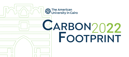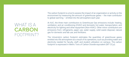WHAT IS A **CARBON** FOOTPRINT? The carbon footprint is a tool to assess the impact of an organization or activity on the environment by measuring the amount of greenhouse gases – the main contributor to global warming – emitted into the atmosphere each year.

At AUC, the three main contributors to Greenhouse Gas emissions include: heating, ventilation, and air conditioning (HVAC) and domestic hot water, transportation, and electricity for lighting and other equipment (Non-HVAC). Other minor contributors are emissions from: refrigerants, paper use, water supply, solid waste disposal, natural gas for domestic and lab use, and fertilizers.

The University's carbon footprint estimates the quantities of greenhouse gases emitted into the atmosphere as a result of its operations, such as providing water and electricity needed for faculty, staff, and student utilization on campus. The carbon footprint is expressed in Metric Tons of Carbon Dioxide equivalent (MT CO<sub>2</sub>e).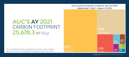**AUC's Carbon Footprint Academic Year (AY) 2021 (September 1, 2020 - August 31, 2021)** 

 $26%$ 

 $11%$ 

Transportation

# CARBON FOOTPRINT 25,678.3 MT CO<sub>2</sub>e **AUC'S AY 2021**

55%

For more detailed information regarding the University's carbon footprint, please see the Office of Sustainability's webpage for all previous reports.

 $2.96$ Natura Gas

%

1%

**Paper Use** 

olid Wast

**Vater Suppl** 

 $2.96$ 

**Refrigerants**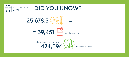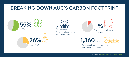## **BREAKING DOWN AUC'S CARBON FOOTPRINT**







**1,360** metric tons



Non-HVAC Emissions from commuting to campus by private car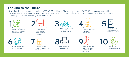### **Looking to the Future**

AUC reduced its carbon footprint by about  $8,550$  MT CO<sub>2</sub>e this year. The novel coronavirus (COVID-19) has caused observable changes in AUC's emissions. In the coming years, the challenge will be to continue our efforts to curb AUC's emissions while also prioritizing our community's health and well-being. What can we do?

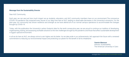#### Message from the Sustainability Director

Dear AUC Community,

.

Each year, we can see just how much impact we as students, educators, and AUC community members have on our environment.The coronavirus (COVID-19) pandemic has impacted every faucet of our daily lives here at AUC, leading to observable decreases in the University's emissions. For the past year, our community has shown resilience and strength as we have altered all of our normal campus operations to accommodate the changes brought by COVID-19.

Today, with the publication the University's carbon footprint data for the tenth consecutive year, we are proud to continue our tradition of developing, implementing, testing, and assessing workable solutions to the new challenges brought by the pandemic and those that affect sustainable development in Egypt's special environment.

In all we do here at AUC, we always strive to aim higher and do better. As we take pride in our achievements, let's approach the future with a renewed commitment to reducing our environmental impact and protecting our planet for the benefit of all its inhabitants

 Yasmin Mansour Director, Sustainability The American University in Cairo